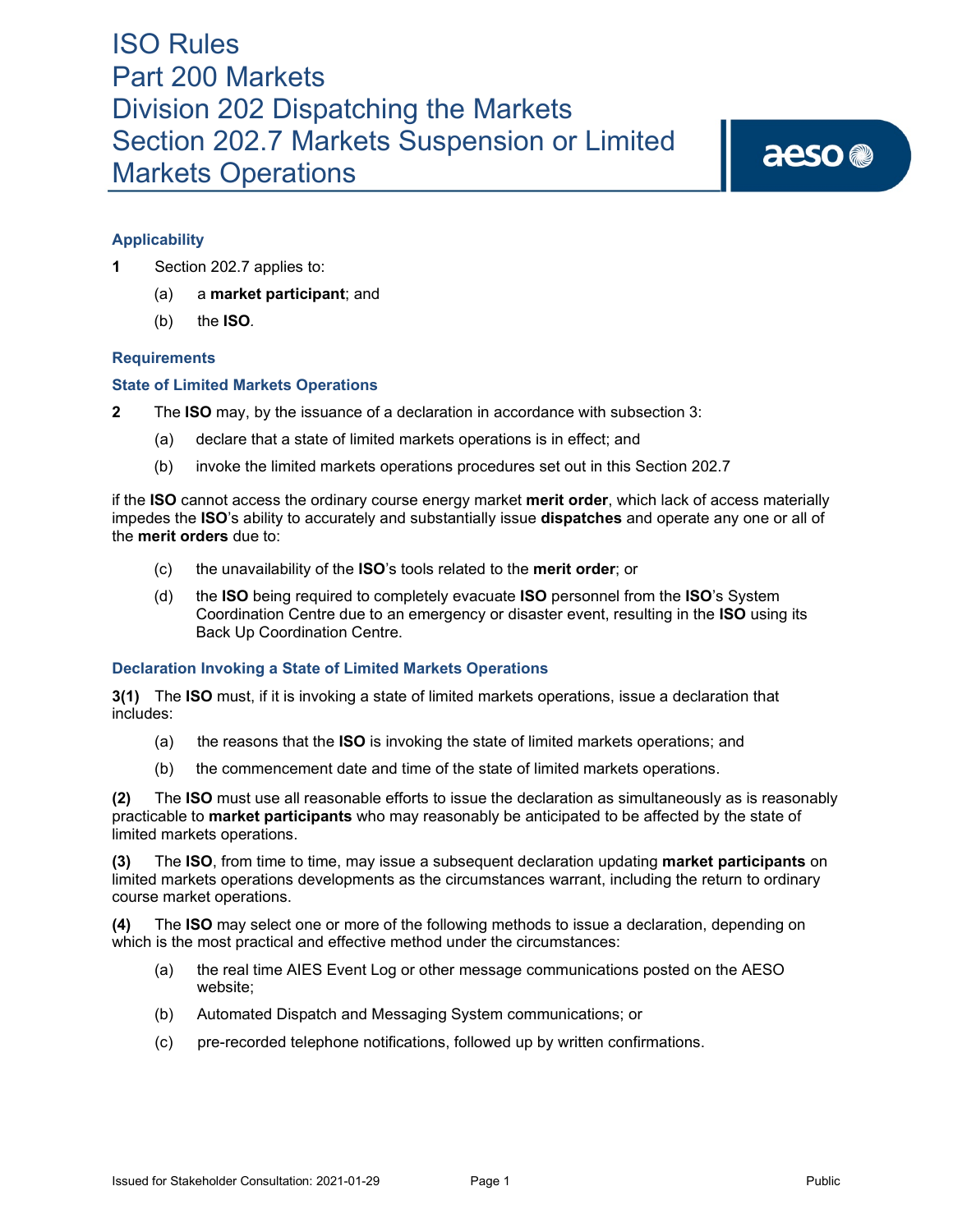aeso<sup>®</sup>

### **Applicability**

- **1** Section 202.7 applies to:
	- (a) a **market participant**; and
	- (b) the **ISO***.*

### **Requirements**

### **State of Limited Markets Operations**

- **2** The **ISO** may, by the issuance of a declaration in accordance with subsection 3:
	- (a) declare that a state of limited markets operations is in effect; and
	- (b) invoke the limited markets operations procedures set out in this Section 202.7

if the **ISO** cannot access the ordinary course energy market **merit order**, which lack of access materially impedes the **ISO**'s ability to accurately and substantially issue **dispatches** and operate any one or all of the **merit orders** due to:

- (c) the unavailability of the **ISO**'s tools related to the **merit order**; or
- (d) the **ISO** being required to completely evacuate **ISO** personnel from the **ISO**'s System Coordination Centre due to an emergency or disaster event, resulting in the **ISO** using its Back Up Coordination Centre.

### **Declaration Invoking a State of Limited Markets Operations**

**3(1)** The **ISO** must, if it is invoking a state of limited markets operations, issue a declaration that includes:

- (a) the reasons that the **ISO** is invoking the state of limited markets operations; and
- (b) the commencement date and time of the state of limited markets operations.

**(2)** The **ISO** must use all reasonable efforts to issue the declaration as simultaneously as is reasonably practicable to **market participants** who may reasonably be anticipated to be affected by the state of limited markets operations.

**(3)** The **ISO**, from time to time, may issue a subsequent declaration updating **market participants** on limited markets operations developments as the circumstances warrant, including the return to ordinary course market operations.

**(4)** The **ISO** may select one or more of the following methods to issue a declaration, depending on which is the most practical and effective method under the circumstances:

- (a) the real time AIES Event Log or other message communications posted on the AESO website;
- (b) Automated Dispatch and Messaging System communications; or
- (c) pre-recorded telephone notifications, followed up by written confirmations.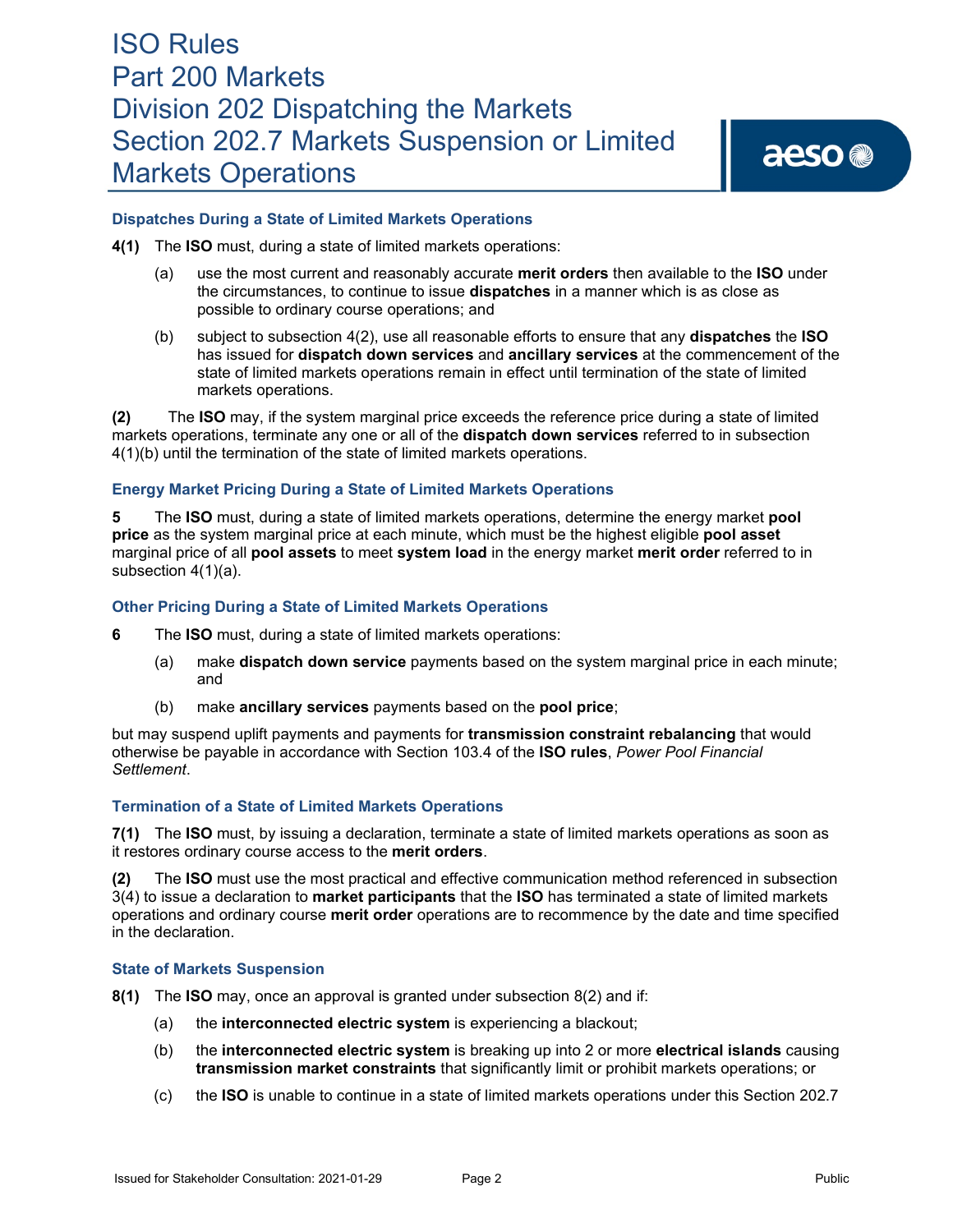aeso<sup>®</sup>

### **Dispatches During a State of Limited Markets Operations**

- **4(1)** The **ISO** must, during a state of limited markets operations:
	- (a) use the most current and reasonably accurate **merit orders** then available to the **ISO** under the circumstances, to continue to issue **dispatches** in a manner which is as close as possible to ordinary course operations; and
	- (b) subject to subsection 4(2), use all reasonable efforts to ensure that any **dispatches** the **ISO** has issued for **dispatch down services** and **ancillary services** at the commencement of the state of limited markets operations remain in effect until termination of the state of limited markets operations.

**(2)** The **ISO** may, if the system marginal price exceeds the reference price during a state of limited markets operations, terminate any one or all of the **dispatch down services** referred to in subsection 4(1)(b) until the termination of the state of limited markets operations.

### **Energy Market Pricing During a State of Limited Markets Operations**

**5** The **ISO** must, during a state of limited markets operations, determine the energy market **pool price** as the system marginal price at each minute, which must be the highest eligible **pool asset**  marginal price of all **pool assets** to meet **system load** in the energy market **merit order** referred to in subsection 4(1)(a).

### **Other Pricing During a State of Limited Markets Operations**

- **6** The **ISO** must, during a state of limited markets operations:
	- (a) make **dispatch down service** payments based on the system marginal price in each minute; and
	- (b) make **ancillary services** payments based on the **pool price**;

but may suspend uplift payments and payments for **transmission constraint rebalancing** that would otherwise be payable in accordance with Section 103.4 of the **ISO rules**, *Power Pool Financial Settlement*.

### **Termination of a State of Limited Markets Operations**

**7(1)** The **ISO** must, by issuing a declaration, terminate a state of limited markets operations as soon as it restores ordinary course access to the **merit orders**.

**(2)** The **ISO** must use the most practical and effective communication method referenced in subsection 3(4) to issue a declaration to **market participants** that the **ISO** has terminated a state of limited markets operations and ordinary course **merit order** operations are to recommence by the date and time specified in the declaration.

#### **State of Markets Suspension**

- **8(1)** The **ISO** may, once an approval is granted under subsection 8(2) and if:
	- (a) the **interconnected electric system** is experiencing a blackout;
	- (b) the **interconnected electric system** is breaking up into 2 or more **electrical islands** causing **transmission market constraints** that significantly limit or prohibit markets operations; or
	- (c) the **ISO** is unable to continue in a state of limited markets operations under this Section 202.7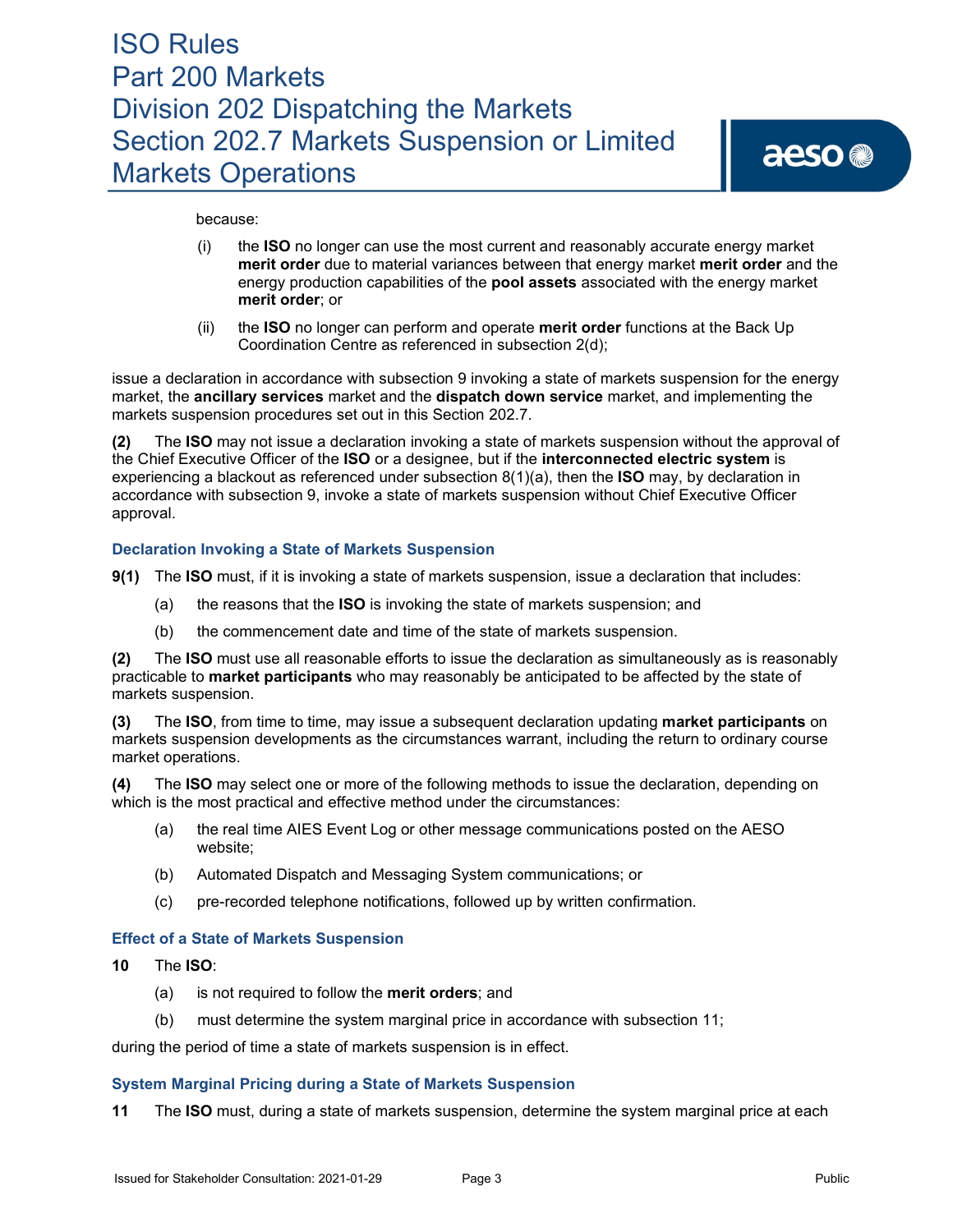#### because:

- (i) the **ISO** no longer can use the most current and reasonably accurate energy market **merit order** due to material variances between that energy market **merit order** and the energy production capabilities of the **pool assets** associated with the energy market **merit order**; or
- (ii) the **ISO** no longer can perform and operate **merit order** functions at the Back Up Coordination Centre as referenced in subsection 2(d);

issue a declaration in accordance with subsection 9 invoking a state of markets suspension for the energy market, the **ancillary services** market and the **dispatch down service** market, and implementing the markets suspension procedures set out in this Section 202.7.

**(2)** The **ISO** may not issue a declaration invoking a state of markets suspension without the approval of the Chief Executive Officer of the **ISO** or a designee, but if the **interconnected electric system** is experiencing a blackout as referenced under subsection 8(1)(a), then the **ISO** may, by declaration in accordance with subsection 9, invoke a state of markets suspension without Chief Executive Officer approval.

### **Declaration Invoking a State of Markets Suspension**

- **9(1)** The **ISO** must, if it is invoking a state of markets suspension, issue a declaration that includes:
	- (a) the reasons that the **ISO** is invoking the state of markets suspension; and
	- (b) the commencement date and time of the state of markets suspension.

**(2)** The **ISO** must use all reasonable efforts to issue the declaration as simultaneously as is reasonably practicable to **market participants** who may reasonably be anticipated to be affected by the state of markets suspension.

**(3)** The **ISO**, from time to time, may issue a subsequent declaration updating **market participants** on markets suspension developments as the circumstances warrant, including the return to ordinary course market operations.

**(4)** The **ISO** may select one or more of the following methods to issue the declaration, depending on which is the most practical and effective method under the circumstances:

- (a) the real time AIES Event Log or other message communications posted on the AESO website;
- (b) Automated Dispatch and Messaging System communications; or
- (c) pre-recorded telephone notifications, followed up by written confirmation.

### **Effect of a State of Markets Suspension**

- **10** The **ISO**:
	- (a) is not required to follow the **merit orders**; and
	- (b) must determine the system marginal price in accordance with subsection 11;

during the period of time a state of markets suspension is in effect.

### **System Marginal Pricing during a State of Markets Suspension**

**11** The **ISO** must, during a state of markets suspension, determine the system marginal price at each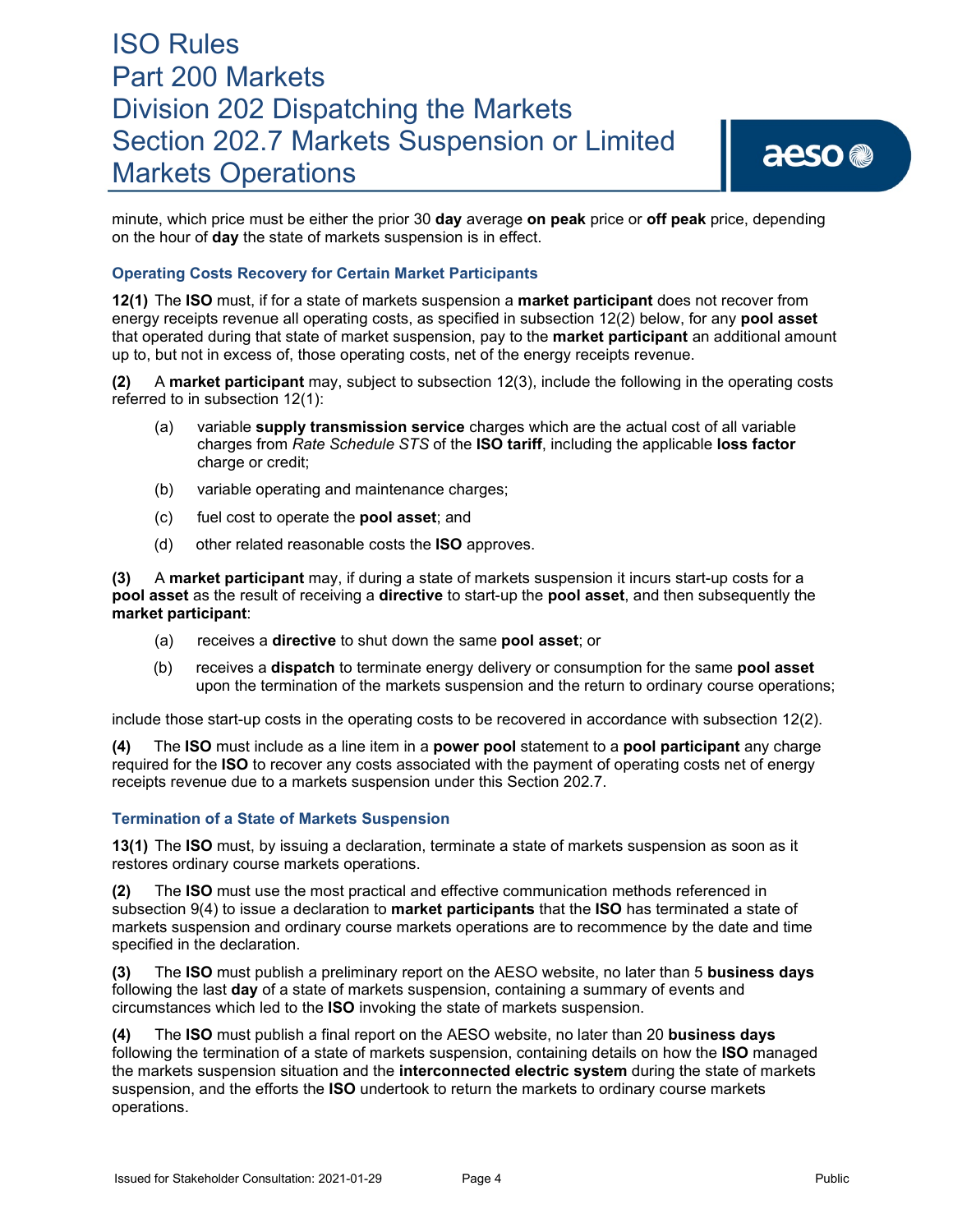minute, which price must be either the prior 30 **day** average **on peak** price or **off peak** price, depending on the hour of **day** the state of markets suspension is in effect.

### **Operating Costs Recovery for Certain Market Participants**

**12(1)** The **ISO** must, if for a state of markets suspension a **market participant** does not recover from energy receipts revenue all operating costs, as specified in subsection 12(2) below, for any **pool asset** that operated during that state of market suspension, pay to the **market participant** an additional amount up to, but not in excess of, those operating costs, net of the energy receipts revenue.

**(2)** A **market participant** may, subject to subsection 12(3), include the following in the operating costs referred to in subsection 12(1):

- (a) variable **supply transmission service** charges which are the actual cost of all variable charges from *Rate Schedule STS* of the **ISO tariff**, including the applicable **loss factor** charge or credit;
- (b) variable operating and maintenance charges;
- (c) fuel cost to operate the **pool asset**; and
- (d) other related reasonable costs the **ISO** approves.

**(3)** A **market participant** may, if during a state of markets suspension it incurs start-up costs for a **pool asset** as the result of receiving a **directive** to start-up the **pool asset**, and then subsequently the **market participant**:

- (a) receives a **directive** to shut down the same **pool asset**; or
- (b) receives a **dispatch** to terminate energy delivery or consumption for the same **pool asset**  upon the termination of the markets suspension and the return to ordinary course operations;

include those start-up costs in the operating costs to be recovered in accordance with subsection 12(2).

**(4)** The **ISO** must include as a line item in a **power pool** statement to a **pool participant** any charge required for the **ISO** to recover any costs associated with the payment of operating costs net of energy receipts revenue due to a markets suspension under this Section 202.7.

### **Termination of a State of Markets Suspension**

**13(1)** The **ISO** must, by issuing a declaration, terminate a state of markets suspension as soon as it restores ordinary course markets operations.

**(2)** The **ISO** must use the most practical and effective communication methods referenced in subsection 9(4) to issue a declaration to **market participants** that the **ISO** has terminated a state of markets suspension and ordinary course markets operations are to recommence by the date and time specified in the declaration.

**(3)** The **ISO** must publish a preliminary report on the AESO website, no later than 5 **business days**  following the last **day** of a state of markets suspension, containing a summary of events and circumstances which led to the **ISO** invoking the state of markets suspension.

**(4)** The **ISO** must publish a final report on the AESO website, no later than 20 **business days**  following the termination of a state of markets suspension, containing details on how the **ISO** managed the markets suspension situation and the **interconnected electric system** during the state of markets suspension, and the efforts the **ISO** undertook to return the markets to ordinary course markets operations.